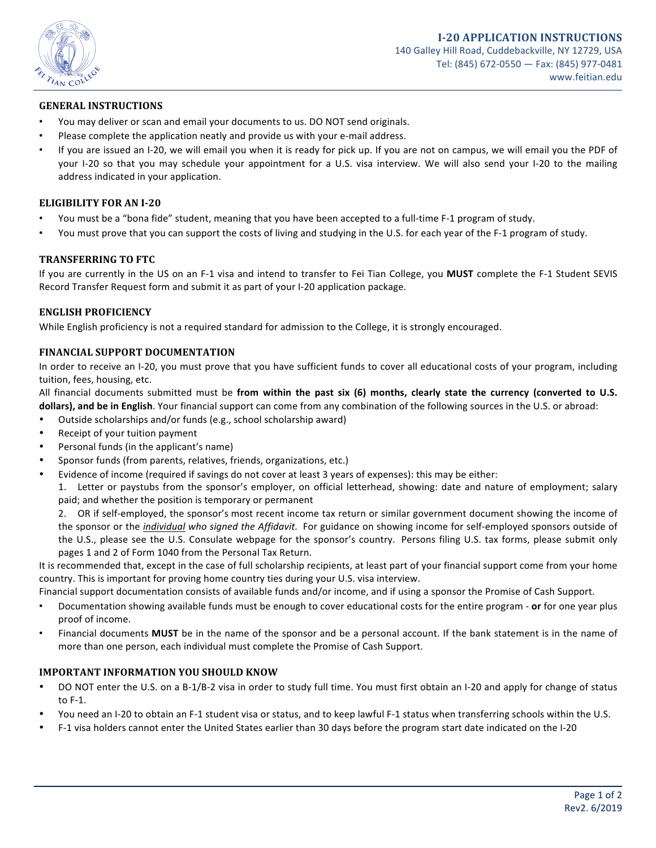

## **GENERAL INSTRUCTIONS**

- You may deliver or scan and email your documents to us. DO NOT send originals.
- Please complete the application neatly and provide us with your e-mail address.
- If you are issued an I-20, we will email you when it is ready for pick up. If you are not on campus, we will email you the PDF of your I-20 so that you may schedule your appointment for a U.S. visa interview. We will also send your I-20 to the mailing address indicated in your application.

## **ELIGIBILITY FOR AN I-20**

- You must be a "bona fide" student, meaning that you have been accepted to a full-time F-1 program of study.
- You must prove that you can support the costs of living and studying in the U.S. for each year of the F-1 program of study.

## **TRANSFERRING TO FTC**

If you are currently in the US on an F-1 visa and intend to transfer to Fei Tian College, you **MUST** complete the F-1 Student SEVIS Record Transfer Request form and submit it as part of your I-20 application package.

#### **ENGLISH PROFICIENCY**

While English proficiency is not a required standard for admission to the College, it is strongly encouraged.

#### **FINANCIAL SUPPORT DOCUMENTATION**

In order to receive an I-20, you must prove that you have sufficient funds to cover all educational costs of your program, including tuition, fees, housing, etc.

All financial documents submitted must be **from within the past six (6) months, clearly state the currency (converted to U.S. dollars), and be in English**. Your financial support can come from any combination of the following sources in the U.S. or abroad:

- Outside scholarships and/or funds (e.g., school scholarship award)
- Receipt of your tuition payment
- Personal funds (in the applicant's name)
- Sponsor funds (from parents, relatives, friends, organizations, etc.)
	- Evidence of income (required if savings do not cover at least 3 years of expenses): this may be either:

1. Letter or paystubs from the sponsor's employer, on official letterhead, showing: date and nature of employment; salary paid; and whether the position is temporary or permanent

2. OR if self-employed, the sponsor's most recent income tax return or similar government document showing the income of the sponsor or the *individual who signed the Affidavit*. For guidance on showing income for self-employed sponsors outside of the U.S., please see the U.S. Consulate webpage for the sponsor's country. Persons filing U.S. tax forms, please submit only pages 1 and 2 of Form 1040 from the Personal Tax Return.

It is recommended that, except in the case of full scholarship recipients, at least part of your financial support come from your home country. This is important for proving home country ties during your U.S. visa interview.

Financial support documentation consists of available funds and/or income, and if using a sponsor the Promise of Cash Support.

- Documentation showing available funds must be enough to cover educational costs for the entire program **or** for one year plus proof of income.
- Financial documents **MUST** be in the name of the sponsor and be a personal account. If the bank statement is in the name of more than one person, each individual must complete the Promise of Cash Support.

#### **IMPORTANT INFORMATION YOU SHOULD KNOW**

- DO NOT enter the U.S. on a B-1/B-2 visa in order to study full time. You must first obtain an I-20 and apply for change of status to F-1.
- You need an I-20 to obtain an F-1 student visa or status, and to keep lawful F-1 status when transferring schools within the U.S.
- F-1 visa holders cannot enter the United States earlier than 30 days before the program start date indicated on the I-20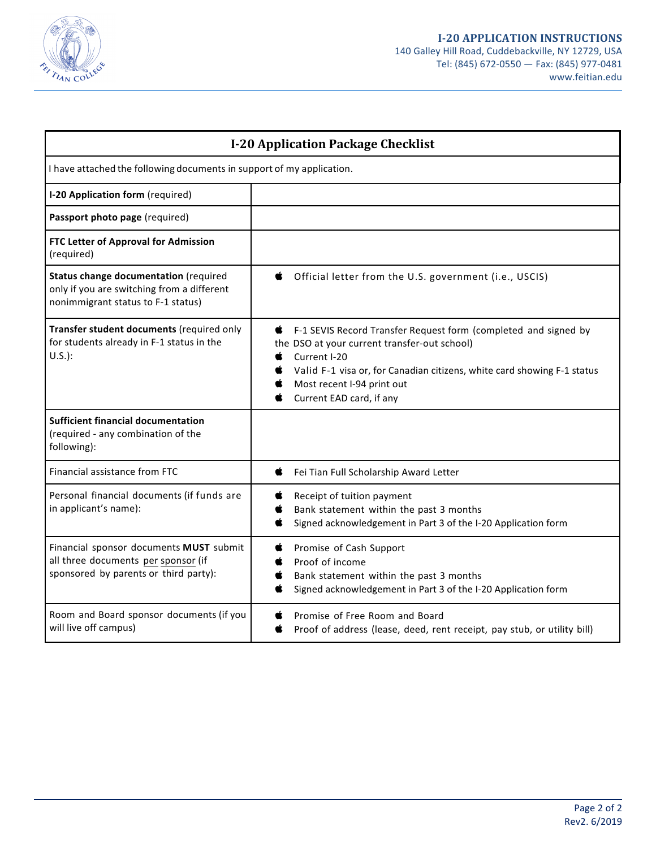

| <b>I-20 Application Package Checklist</b>                                                                                 |                                                                                                                                                                                                                                                                           |
|---------------------------------------------------------------------------------------------------------------------------|---------------------------------------------------------------------------------------------------------------------------------------------------------------------------------------------------------------------------------------------------------------------------|
| I have attached the following documents in support of my application.                                                     |                                                                                                                                                                                                                                                                           |
| I-20 Application form (required)                                                                                          |                                                                                                                                                                                                                                                                           |
| Passport photo page (required)                                                                                            |                                                                                                                                                                                                                                                                           |
| FTC Letter of Approval for Admission<br>(required)                                                                        |                                                                                                                                                                                                                                                                           |
| Status change documentation (required<br>only if you are switching from a different<br>nonimmigrant status to F-1 status) | Official letter from the U.S. government (i.e., USCIS)<br>Ć                                                                                                                                                                                                               |
| Transfer student documents (required only<br>for students already in F-1 status in the<br>$U.S.$ ):                       | F-1 SEVIS Record Transfer Request form (completed and signed by<br>c<br>the DSO at your current transfer-out school)<br>Current I-20<br>Valid F-1 visa or, for Canadian citizens, white card showing F-1 status<br>Most recent I-94 print out<br>Current EAD card, if any |
| <b>Sufficient financial documentation</b><br>(required - any combination of the<br>following):                            |                                                                                                                                                                                                                                                                           |
| Financial assistance from FTC                                                                                             | Fei Tian Full Scholarship Award Letter<br>Ċ                                                                                                                                                                                                                               |
| Personal financial documents (if funds are<br>in applicant's name):                                                       | Receipt of tuition payment<br>Bank statement within the past 3 months<br>Signed acknowledgement in Part 3 of the I-20 Application form                                                                                                                                    |
| Financial sponsor documents MUST submit<br>all three documents per sponsor (if<br>sponsored by parents or third party):   | Promise of Cash Support<br>C.<br>Proof of income<br>Bank statement within the past 3 months<br>œ<br>Signed acknowledgement in Part 3 of the I-20 Application form                                                                                                         |
| Room and Board sponsor documents (if you<br>will live off campus)                                                         | Promise of Free Room and Board<br>Œ<br>Proof of address (lease, deed, rent receipt, pay stub, or utility bill)<br>œ                                                                                                                                                       |